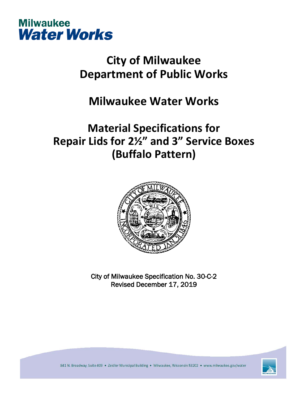

# **City of Milwaukee Department of Public Works**

### **Milwaukee Water Works**

## **Material Specifications for Repair Lids for 2½" and 3" Service Boxes (Buffalo Pattern)**



City of Milwaukee Specification No. 30-C-2 Revised December 17, 2019